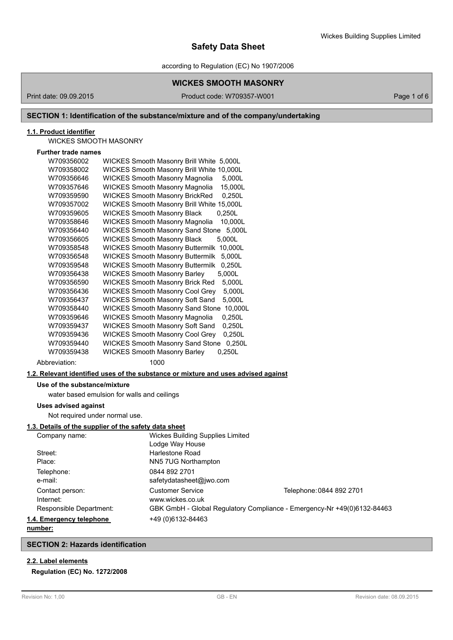according to Regulation (EC) No 1907/2006

## **WICKES SMOOTH MASONRY**

Print date: 09.09.2015 Product code: W709357-W001 Page 1 of 6

## **SECTION 1: Identification of the substance/mixture and of the company/undertaking**

## **1.1. Product identifier**

WICKES SMOOTH MASONRY

## **Further trade names**

| W709356002    | <b>WICKES Smooth Masonry Brill White</b><br>5,000L |
|---------------|----------------------------------------------------|
| W709358002    | WICKES Smooth Masonry Brill White 10,000L          |
| W709356646    | <b>WICKES Smooth Masonry Magnolia</b><br>5,000L    |
| W709357646    | <b>WICKES Smooth Masonry Magnolia</b><br>15,000L   |
| W709359590    | <b>WICKES Smooth Masonry BrickRed</b><br>0,250L    |
| W709357002    | WICKES Smooth Masonry Brill White 15,000L          |
| W709359605    | <b>WICKES Smooth Masonry Black</b><br>0,250L       |
| W709358646    | <b>WICKES Smooth Masonry Magnolia</b><br>10,000L   |
| W709356440    | <b>WICKES Smooth Masonry Sand Stone</b><br>5,000L  |
| W709356605    | <b>WICKES Smooth Masonry Black</b><br>5,000L       |
| W709358548    | <b>WICKES Smooth Masonry Buttermilk</b><br>10,000L |
| W709356548    | <b>WICKES Smooth Masonry Buttermilk</b><br>5,000L  |
| W709359548    | 0,250L<br><b>WICKES Smooth Masonry Buttermilk</b>  |
| W709356438    | <b>WICKES Smooth Masonry Barley</b><br>5,000L      |
| W709356590    | <b>WICKES Smooth Masonry Brick Red</b><br>5,000L   |
| W709356436    | <b>WICKES Smooth Masonry Cool Grey</b><br>5,000L   |
| W709356437    | <b>WICKES Smooth Masonry Soft Sand</b><br>5,000L   |
| W709358440    | <b>WICKES Smooth Masonry Sand Stone</b><br>10,000L |
| W709359646    | <b>WICKES Smooth Masonry Magnolia</b><br>0,250L    |
| W709359437    | <b>WICKES Smooth Masonry Soft Sand</b><br>0,250L   |
| W709359436    | <b>WICKES Smooth Masonry Cool Grey</b><br>0,250L   |
| W709359440    | <b>WICKES Smooth Masonry Sand Stone</b><br>0,250L  |
| W709359438    | <b>WICKES Smooth Masonry Barley</b><br>0,250L      |
| Abbreviation: | 1000                                               |

## **1.2. Relevant identified uses of the substance or mixture and uses advised against**

## **Use of the substance/mixture**

water based emulsion for walls and ceilings

## **Uses advised against**

Not required under normal use.

## **1.3. Details of the supplier of the safety data sheet**

| Company name:            | <b>Wickes Building Supplies Limited</b>                                 |                          |  |
|--------------------------|-------------------------------------------------------------------------|--------------------------|--|
|                          | Lodge Way House                                                         |                          |  |
| Street:                  | Harlestone Road                                                         |                          |  |
| Place:                   | NN5 7UG Northampton                                                     |                          |  |
| Telephone:               | 0844 892 2701                                                           |                          |  |
| e-mail:                  | safetydatasheet@jwo.com                                                 |                          |  |
| Contact person:          | <b>Customer Service</b>                                                 | Telephone: 0844 892 2701 |  |
| Internet:                | www.wickes.co.uk                                                        |                          |  |
| Responsible Department:  | GBK GmbH - Global Regulatory Compliance - Emergency-Nr +49(0)6132-84463 |                          |  |
| 1.4. Emergency telephone | +49 (0) 6132-84463                                                      |                          |  |
|                          |                                                                         |                          |  |

## **number:**

### **SECTION 2: Hazards identification**

## **2.2. Label elements**

## **Regulation (EC) No. 1272/2008**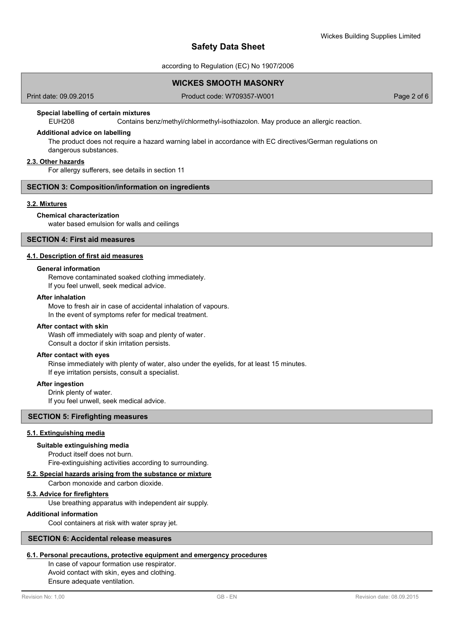according to Regulation (EC) No 1907/2006

## **WICKES SMOOTH MASONRY**

Print date: 09.09.2015 Product code: W709357-W001 Product code: W709357-W001

## **Special labelling of certain mixtures**

EUH208 Contains benz/methyl/chlormethyl-isothiazolon. May produce an allergic reaction.

### **Additional advice on labelling**

The product does not require a hazard warning label in accordance with EC directives/German regulations on dangerous substances.

### **2.3. Other hazards**

For allergy sufferers, see details in section 11

## **SECTION 3: Composition/information on ingredients**

### **3.2. Mixtures**

## **Chemical characterization**

water based emulsion for walls and ceilings

## **SECTION 4: First aid measures**

## **4.1. Description of first aid measures**

### **General information**

Remove contaminated soaked clothing immediately. If you feel unwell, seek medical advice.

## **After inhalation**

Move to fresh air in case of accidental inhalation of vapours. In the event of symptoms refer for medical treatment.

## **After contact with skin**

Wash off immediately with soap and plenty of water. Consult a doctor if skin irritation persists.

### **After contact with eyes**

Rinse immediately with plenty of water, also under the eyelids, for at least 15 minutes. If eye irritation persists, consult a specialist.

### **After ingestion**

Drink plenty of water. If you feel unwell, seek medical advice.

## **SECTION 5: Firefighting measures**

### **5.1. Extinguishing media**

### **Suitable extinguishing media**

Product itself does not burn. Fire-extinguishing activities according to surrounding.

## **5.2. Special hazards arising from the substance or mixture**

Carbon monoxide and carbon dioxide.

### **5.3. Advice for firefighters**

Use breathing apparatus with independent air supply.

#### **Additional information**

Cool containers at risk with water spray jet.

## **SECTION 6: Accidental release measures**

## **6.1. Personal precautions, protective equipment and emergency procedures**

In case of vapour formation use respirator. Avoid contact with skin, eyes and clothing. Ensure adequate ventilation.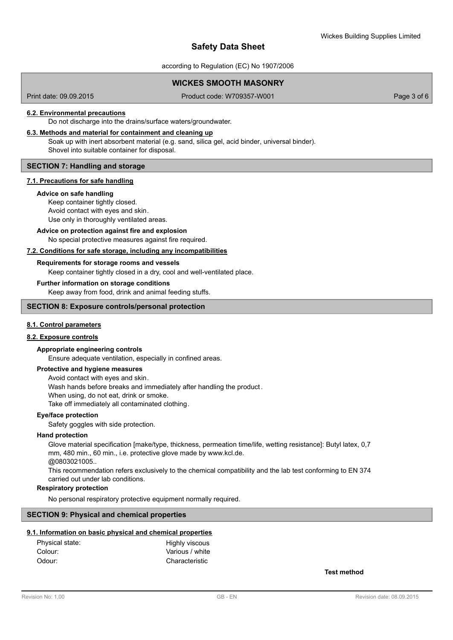according to Regulation (EC) No 1907/2006

## **WICKES SMOOTH MASONRY**

Print date: 09.09.2015 Product code: W709357-W001 Product code: W709357-W001

### **6.2. Environmental precautions**

Do not discharge into the drains/surface waters/groundwater.

#### **6.3. Methods and material for containment and cleaning up**

Soak up with inert absorbent material (e.g. sand, silica gel, acid binder, universal binder). Shovel into suitable container for disposal.

## **SECTION 7: Handling and storage**

### **7.1. Precautions for safe handling**

#### **Advice on safe handling**

Keep container tightly closed. Avoid contact with eyes and skin. Use only in thoroughly ventilated areas.

### No special protective measures against fire required. **Advice on protection against fire and explosion**

## **7.2. Conditions for safe storage, including any incompatibilities**

# **Requirements for storage rooms and vessels**

Keep container tightly closed in a dry, cool and well-ventilated place.

## **Further information on storage conditions**

Keep away from food, drink and animal feeding stuffs.

## **SECTION 8: Exposure controls/personal protection**

## **8.1. Control parameters**

## **8.2. Exposure controls**

## **Appropriate engineering controls**

Ensure adequate ventilation, especially in confined areas.

### **Protective and hygiene measures**

Avoid contact with eyes and skin. Wash hands before breaks and immediately after handling the product . When using, do not eat, drink or smoke. Take off immediately all contaminated clothing.

### **Eye/face protection**

Safety goggles with side protection.

### **Hand protection**

Glove material specification [make/type, thickness, permeation time/life, wetting resistance]: Butyl latex, 0,7 mm, 480 min., 60 min., i.e. protective glove made by www.kcl.de.

@0803021005..

This recommendation refers exclusively to the chemical compatibility and the lab test conforming to EN 374 carried out under lab conditions.

## **Respiratory protection**

No personal respiratory protective equipment normally required.

### **SECTION 9: Physical and chemical properties**

### **9.1. Information on basic physical and chemical properties**

| Physical state: | Highly viscous  |
|-----------------|-----------------|
| Colour:         | Various / white |
| Odour:          | Characteristic  |

**Test method**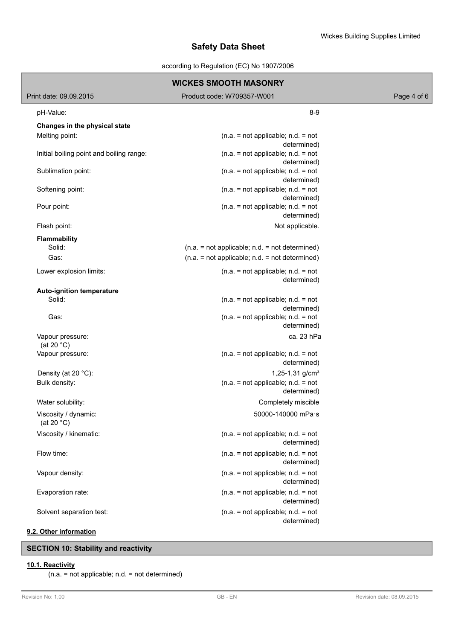according to Regulation (EC) No 1907/2006

| <b>WICKES SMOOTH MASONRY</b>             |                                                     |             |  |  |
|------------------------------------------|-----------------------------------------------------|-------------|--|--|
| Print date: 09.09.2015                   | Product code: W709357-W001                          | Page 4 of 6 |  |  |
| pH-Value:                                | $8 - 9$                                             |             |  |  |
| Changes in the physical state            |                                                     |             |  |  |
| Melting point:                           | $(n.a. = not applicable; n.d. = not$<br>determined) |             |  |  |
| Initial boiling point and boiling range: | $(n.a. = not applicable; n.d. = not$<br>determined) |             |  |  |
| Sublimation point:                       | $(n.a. = not applicable; n.d. = not$<br>determined) |             |  |  |
| Softening point:                         | $(n.a. = not applicable; n.d. = not$<br>determined) |             |  |  |
| Pour point:                              | $(n.a. = not applicable; n.d. = not$<br>determined) |             |  |  |
| Flash point:                             | Not applicable.                                     |             |  |  |
| Flammability                             |                                                     |             |  |  |
| Solid:                                   | $(n.a. = not applicable; n.d. = not determined)$    |             |  |  |
| Gas:                                     | $(n.a. = not applicable; n.d. = not determined)$    |             |  |  |
| Lower explosion limits:                  | $(n.a. = not applicable; n.d. = not$<br>determined) |             |  |  |
| <b>Auto-ignition temperature</b>         |                                                     |             |  |  |
| Solid:                                   | $(n.a. = not applicable; n.d. = not$<br>determined) |             |  |  |
| Gas:                                     | $(n.a. = not applicable; n.d. = not$<br>determined) |             |  |  |
| Vapour pressure:<br>(at 20 $^{\circ}$ C) | ca. 23 hPa                                          |             |  |  |
| Vapour pressure:                         | $(n.a. = not applicable; n.d. = not$<br>determined) |             |  |  |
| Density (at 20 °C):                      | 1,25-1,31 g/cm <sup>3</sup>                         |             |  |  |
| Bulk density:                            | $(n.a. = not applicable; n.d. = not$<br>determined) |             |  |  |
| Water solubility:                        | Completely miscible                                 |             |  |  |
| Viscosity / dynamic:<br>(at 20 $°C$ )    | 50000-140000 mPa·s                                  |             |  |  |
| Viscosity / kinematic:                   | $(n.a. = not applicable; n.d. = not$<br>determined) |             |  |  |
| Flow time:                               | $(n.a. = not applicable; n.d. = not$<br>determined) |             |  |  |
| Vapour density:                          | $(n.a. = not applicable; n.d. = not$<br>determined) |             |  |  |
| Evaporation rate:                        | $(n.a. = not applicable; n.d. = not$<br>determined) |             |  |  |
| Solvent separation test:                 | $(n.a. = not applicable; n.d. = not$<br>determined) |             |  |  |
|                                          |                                                     |             |  |  |

## **9.2. Other information**

## **SECTION 10: Stability and reactivity**

## **10.1. Reactivity**

(n.a. = not applicable; n.d. = not determined)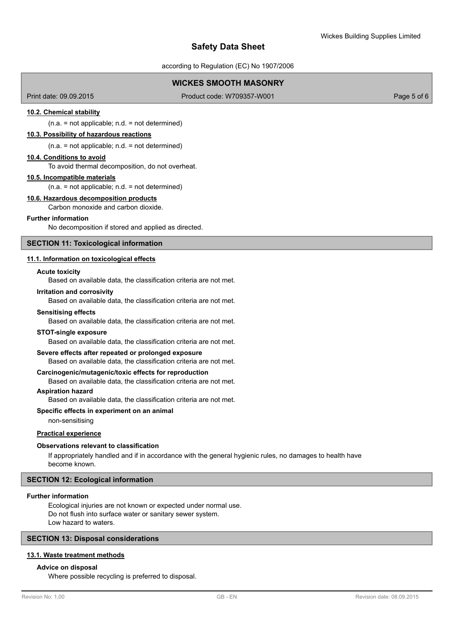according to Regulation (EC) No 1907/2006

## **WICKES SMOOTH MASONRY**

Print date: 09.09.2015 Product code: W709357-W001 Product code: W709357-W001

## **10.2. Chemical stability**

 $(n.a. = not applicable; n.d. = not determined)$ 

## **10.3. Possibility of hazardous reactions**

(n.a. = not applicable; n.d. = not determined)

## **10.4. Conditions to avoid**

To avoid thermal decomposition, do not overheat.

## **10.5. Incompatible materials**

 $(n.a. = not applicable; n.d. = not determined)$ 

#### **10.6. Hazardous decomposition products**

Carbon monoxide and carbon dioxide.

## **Further information**

No decomposition if stored and applied as directed.

## **SECTION 11: Toxicological information**

#### **11.1. Information on toxicological effects**

#### **Acute toxicity**

Based on available data, the classification criteria are not met.

#### **Irritation and corrosivity**

Based on available data, the classification criteria are not met.

#### **Sensitising effects**

Based on available data, the classification criteria are not met.

#### **STOT-single exposure**

Based on available data, the classification criteria are not met.

#### **Severe effects after repeated or prolonged exposure**

Based on available data, the classification criteria are not met.

## **Carcinogenic/mutagenic/toxic effects for reproduction**

Based on available data, the classification criteria are not met.

## **Aspiration hazard**

Based on available data, the classification criteria are not met.

### **Specific effects in experiment on an animal**

non-sensitising

## **Practical experience**

#### **Observations relevant to classification**

If appropriately handled and if in accordance with the general hygienic rules, no damages to health have become known.

## **SECTION 12: Ecological information**

#### **Further information**

Ecological injuries are not known or expected under normal use. Do not flush into surface water or sanitary sewer system. Low hazard to waters.

## **SECTION 13: Disposal considerations**

## **13.1. Waste treatment methods**

#### **Advice on disposal**

Where possible recycling is preferred to disposal.